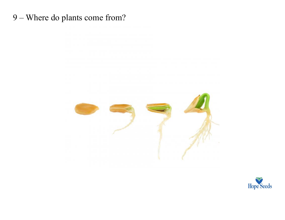9 – Where do plants come from?